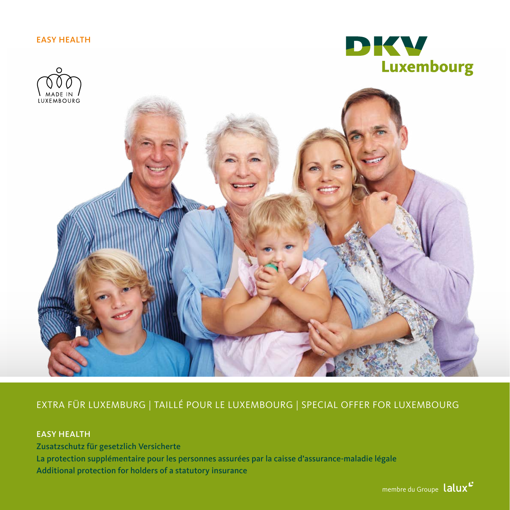### EASY HEALTH





## EXTRA FÜR LUXEMBURG | TAILLÉ POUR LE LUXEMBOURG | SPECIAL OFFER FOR LUXEMBOURG

## EASY HEALTH

Zusatzschutz für gesetzlich Versicherte La protection supplémentaire pour les personnes assurées par la caisse d'assurance-maladie légale Additional protection for holders of a statutory insurance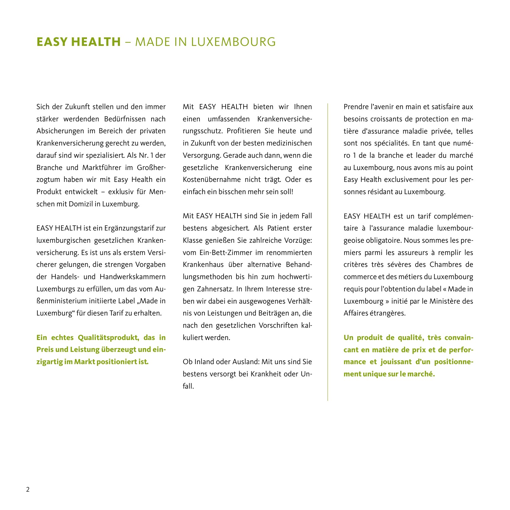# **EASY HEALTH** – MADE IN LUXEMBOURG

Sich der Zukunft stellen und den immer stärker werdenden Bedürfnissen nach Absicherungen im Bereich der privaten Krankenversicherung gerecht zu werden, darauf sind wir spezialisiert. Als Nr. 1 der Branche und Marktführer im Großherzogtum haben wir mit Easy Health ein Produkt entwickelt – exklusiv für Menschen mit Domizil in Luxemburg.

EASY HEALTH ist ein Ergänzungstarif zur luxemburgischen gesetzlichen Krankenversicherung. Es ist uns als erstem Versicherer gelungen, die strengen Vorgaben der Handels- und Handwerkskammern Luxemburgs zu erfüllen, um das vom Außenministerium initiierte Label "Made in Luxemburg" für diesen Tarif zu erhalten.

**Ein echtes Qualitätsprodukt, das in Preis und Leistung überzeugt und einzigartig im Markt positioniert ist.**

Mit EASY HEALTH bieten wir Ihnen einen umfassenden Krankenversicherungsschutz. Profitieren Sie heute und in Zukunft von der besten medizinischen Versorgung. Gerade auch dann, wenn die gesetzliche Krankenversicherung eine Kostenübernahme nicht trägt. Oder es einfach ein bisschen mehr sein soll!

Mit EASY HEALTH sind Sie in jedem Fall bestens abgesichert. Als Patient erster Klasse genießen Sie zahlreiche Vorzüge: vom Ein-Bett-Zimmer im renommierten Krankenhaus über alternative Behandlungsmethoden bis hin zum hochwertigen Zahnersatz. In Ihrem Interesse streben wir dabei ein ausgewogenes Verhältnis von Leistungen und Beiträgen an, die nach den gesetzlichen Vorschriften kalkuliert werden.

Ob Inland oder Ausland: Mit uns sind Sie bestens versorgt bei Krankheit oder Unfall.

Prendre l'avenir en main et satisfaire aux besoins croissants de protection en matière d'assurance maladie privée, telles sont nos spécialités. En tant que numéro 1 de la branche et leader du marché au Luxembourg, nous avons mis au point Easy Health exclusivement pour les personnes résidant au Luxembourg.

EASY HEALTH est un tarif complémentaire à l'assurance maladie luxembourgeoise obligatoire. Nous sommes les premiers parmi les assureurs à remplir les critères très sévères des Chambres de commerce et des métiers du Luxembourg requis pour l'obtention du label « Made in Luxembourg » initié par le Ministère des Affaires étrangères.

**Un produit de qualité, très convaincant en matière de prix et de performance et jouissant d'un positionnement unique sur le marché.**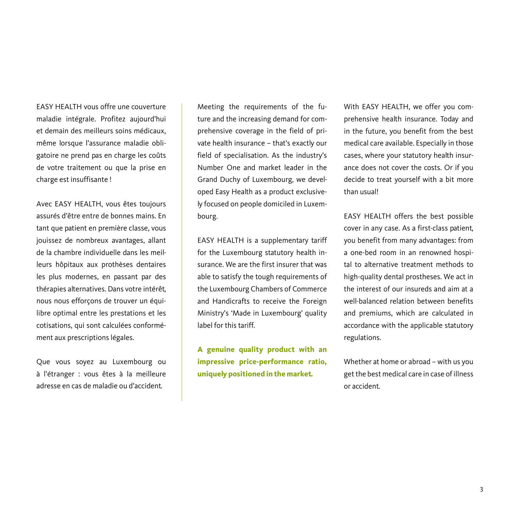EASY HEALTH vous offre une couverture maladie intégrale. Profitez aujourd'hui et demain des meilleurs soins médicaux, même lorsque l'assurance maladie obligatoire ne prend pas en charge les coûts de votre traitement ou que la prise en charge est insuffisante !

Avec EASY HEALTH, vous êtes toujours assurés d'être entre de bonnes mains. En tant que patient en première classe, vous jouissez de nombreux avantages, allant de la chambre individuelle dans les meilleurs hôpitaux aux prothèses dentaires les plus modernes, en passant par des thérapies alternatives. Dans votre intérêt, nous nous efforçons de trouver un équilibre optimal entre les prestations et les cotisations, qui sont calculées conformément aux prescriptions légales.

Que vous soyez au Luxembourg ou à l'étranger : vous êtes à la meilleure adresse en cas de maladie ou d'accident.

Meeting the requirements of the future and the increasing demand for comprehensive coverage in the field of private health insurance – that's exactly our field of specialisation. As the industry's Number One and market leader in the Grand Duchy of Luxembourg, we developed Easy Health as a product exclusively focused on people domiciled in Luxembourg.

EASY HEALTH is a supplementary tariff for the Luxembourg statutory health insurance. We are the first insurer that was able to satisfy the tough requirements of the Luxembourg Chambers of Commerce and Handicrafts to receive the Foreign Ministry's 'Made in Luxembourg' quality label for this tariff.

**A genuine quality product with an impressive price-performance ratio, uniquely positioned in the market.**

With EASY HEALTH, we offer you comprehensive health insurance. Today and in the future, you benefit from the best medical care available. Especially in those cases, where your statutory health insurance does not cover the costs. Or if you decide to treat yourself with a bit more than usual!

EASY HEALTH offers the best possible cover in any case. As a first-class patient, you benefit from many advantages: from a one-bed room in an renowned hospital to alternative treatment methods to high-quality dental prostheses. We act in the interest of our insureds and aim at a well-balanced relation between benefits and premiums, which are calculated in accordance with the applicable statutory regulations.

Whether at home or abroad – with us you get the best medical care in case of illness or accident.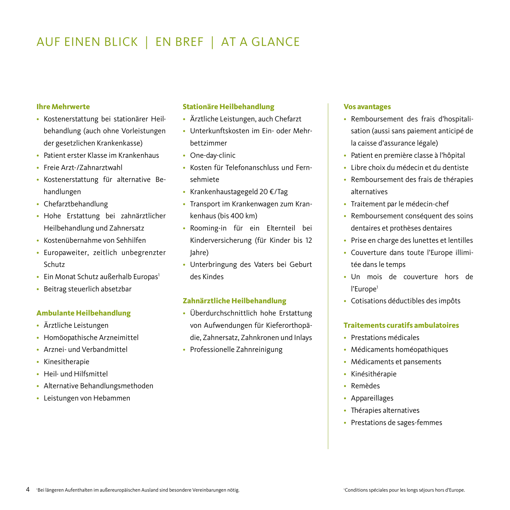# AUF EINEN BLICK | EN BREF | AT A GLANCE

#### **Ihre Mehrwerte**

- Kostenerstattung bei stationärer Heilbehandlung (auch ohne Vorleistungen der gesetzlichen Krankenkasse)
- Patient erster Klasse im Krankenhaus
- Freie Arzt-/Zahnarztwahl
- Kostenerstattung für alternative Behandlungen
- Chefarztbehandlung
- Hohe Erstattung bei zahnärztlicher Heilbehandlung und Zahnersatz
- Kostenübernahme von Sehhilfen
- Europaweiter, zeitlich unbegrenzter Schutz
- Ein Monat Schutz außerhalb Europas<sup>1</sup>
- Beitrag steuerlich absetzbar

#### **Ambulante Heilbehandlung**

- Ärztliche Leistungen
- Homöopathische Arzneimittel
- Arznei- und Verbandmittel
- Kinesitherapie
- Heil- und Hilfsmittel
- Alternative Behandlungsmethoden
- Leistungen von Hebammen

#### **Stationäre Heilbehandlung**

- Ärztliche Leistungen, auch Chefarzt
- Unterkunftskosten im Ein- oder Mehrbettzimmer
- One-day-clinic
- Kosten für Telefonanschluss und Fernsehmiete
- Krankenhaustagegeld 20 €/Tag
- Transport im Krankenwagen zum Krankenhaus (bis 400 km)
- Rooming-in für ein Elternteil bei Kinderversicherung (für Kinder bis 12 Jahre)
- Unterbringung des Vaters bei Geburt des Kindes

#### **Zahnärztliche Heilbehandlung**

- Überdurchschnittlich hohe Erstattung von Aufwendungen für Kieferorthopädie, Zahnersatz, Zahnkronen und Inlays
- Professionelle Zahnreinigung

#### **Vos avantages**

- Remboursement des frais d'hospitalisation (aussi sans paiement anticipé de la caisse d'assurance légale)
- Patient en première classe à l'hôpital
- Libre choix du médecin et du dentiste
- Remboursement des frais de thérapies alternatives
- Traitement par le médecin-chef
- Remboursement conséquent des soins dentaires et prothèses dentaires
- Prise en charge des lunettes et lentilles
- Couverture dans toute l'Europe illimitée dans le temps
- Un mois de couverture hors de l'Europe<sup>1</sup>
- Cotisations déductibles des impôts

#### **Traitements curatifs ambulatoires**

- Prestations médicales
- Médicaments homéopathiques
- Médicaments et pansements
- Kinésithérapie
- Remèdes
- Appareillages
- Thérapies alternatives
- Prestations de sages-femmes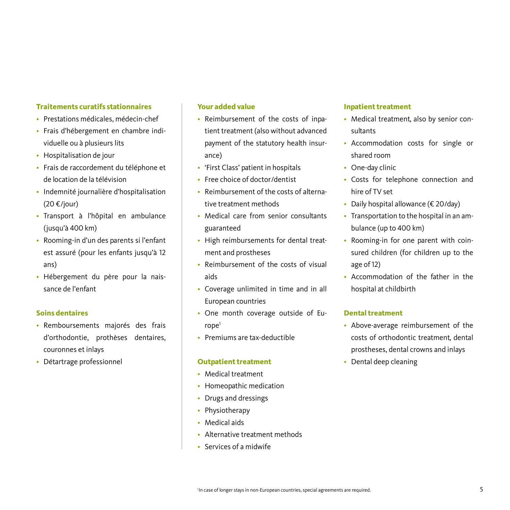#### **Traitements curatifs stationnaires**

- Prestations médicales, médecin-chef
- Frais d'hébergement en chambre individuelle ou à plusieurs lits
- Hospitalisation de jour
- Frais de raccordement du téléphone et de location de la télévision
- Indemnité journalière d'hospitalisation (20 €/jour)
- Transport à l'hôpital en ambulance (jusqu'à 400 km)
- Rooming-in d'un des parents si l'enfant est assuré (pour les enfants jusqu'à 12 ans)
- Hébergement du père pour la naissance de l'enfant

#### **Soins dentaires**

- Remboursements majorés des frais d'orthodontie, prothèses dentaires, couronnes et inlays
- Détartrage professionnel

#### **Your added value**

- Reimbursement of the costs of inpatient treatment (also without advanced payment of the statutory health insurance)
- 'First Class' patient in hospitals
- Free choice of doctor/dentist
- Reimbursement of the costs of alternative treatment methods
- Medical care from senior consultants guaranteed
- High reimbursements for dental treatment and prostheses
- Reimbursement of the costs of visual aids
- Coverage unlimited in time and in all European countries
- One month coverage outside of Eu $rope<sup>1</sup>$
- Premiums are tax-deductible

#### **Outpatient treatment**

- Medical treatment
- Homeopathic medication
- Drugs and dressings
- Physiotherapy
- Medical aids
- Alternative treatment methods
- Services of a midwife

#### **Inpatient treatment**

- Medical treatment, also by senior consultants
- Accommodation costs for single or shared room
- One-day clinic
- Costs for telephone connection and hire of TV set
- Daily hospital allowance (€ 20/day)
- Transportation to the hospital in an ambulance (up to 400 km)
- Rooming-in for one parent with coinsured children (for children up to the age of 12)
- Accommodation of the father in the hospital at childbirth

#### **Dental treatment**

- Above-average reimbursement of the costs of orthodontic treatment, dental prostheses, dental crowns and inlays
- Dental deep cleaning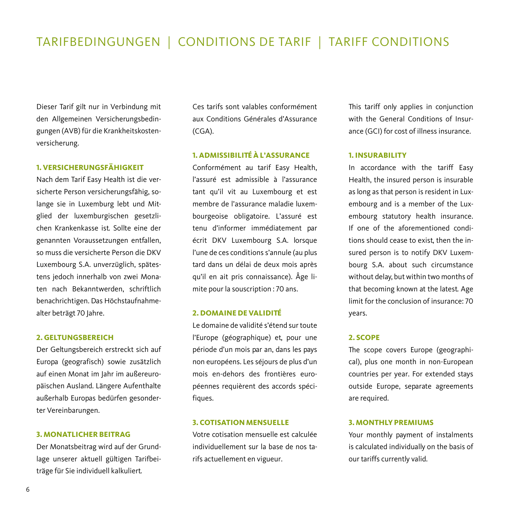Dieser Tarif gilt nur in Verbindung mit den Allgemeinen Versicherungsbedingungen (AVB) für die Krankheitskostenversicherung.

#### **1. VERSICHERUNGSFÄHIGKEIT**

Nach dem Tarif Easy Health ist die versicherte Person versicherungsfähig, solange sie in Luxemburg lebt und Mitglied der luxemburgischen gesetzlichen Krankenkasse ist. Sollte eine der genannten Voraussetzungen entfallen, so muss die versicherte Person die DKV Luxembourg S.A. unverzüglich, spätestens jedoch innerhalb von zwei Monaten nach Bekanntwerden, schriftlich benachrichtigen. Das Höchstaufnahmealter beträgt 70 Jahre.

#### **2. GELTUNGSBEREICH**

Der Geltungsbereich erstreckt sich auf Europa (geografisch) sowie zusätzlich auf einen Monat im Jahr im außereuropäischen Ausland. Längere Aufenthalte außerhalb Europas bedürfen gesonderter Vereinbarungen.

#### **3. MONATLICHER BEITRAG**

Der Monatsbeitrag wird auf der Grundlage unserer aktuell gültigen Tarifbeiträge für Sie individuell kalkuliert.

Ces tarifs sont valables conformément aux Conditions Générales d'Assurance (CGA).

#### **1. ADMISSIBILITÉ À L'ASSURANCE**

Conformément au tarif Easy Health, l'assuré est admissible à l'assurance tant qu'il vit au Luxembourg et est membre de l'assurance maladie luxembourgeoise obligatoire. L'assuré est tenu d'informer immédiatement par écrit DKV Luxembourg S.A. lorsque l'une de ces conditions s'annule (au plus tard dans un délai de deux mois après qu'il en ait pris connaissance). Âge limite pour la souscription : 70 ans.

#### **2. DOMAINE DE VALIDITÉ**

Le domaine de validité s'étend sur toute l'Europe (géographique) et, pour une période d'un mois par an, dans les pays non européens. Les séjours de plus d'un mois en-dehors des frontières européennes requièrent des accords spécifiques.

#### **3. COTISATION MENSUELLE**

Votre cotisation mensuelle est calculée individuellement sur la base de nos tarifs actuellement en vigueur.

This tariff only applies in conjunction with the General Conditions of Insurance (GCI) for cost of illness insurance.

#### **1. INSURABILITY**

In accordance with the tariff Easy Health, the insured person is insurable as long as that person is resident in Luxembourg and is a member of the Luxembourg statutory health insurance. If one of the aforementioned conditions should cease to exist, then the insured person is to notify DKV Luxembourg S.A. about such circumstance without delay, but within two months of that becoming known at the latest. Age limit for the conclusion of insurance: 70 years.

#### **2. SCOPE**

The scope covers Europe (geographical), plus one month in non-European countries per year. For extended stays outside Europe, separate agreements are required.

#### **3. MONTHLY PREMIUMS**

Your monthly payment of instalments is calculated individually on the basis of our tariffs currently valid.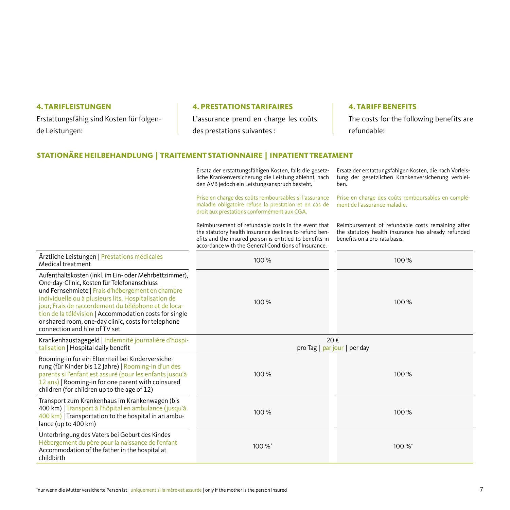#### **4. TARIFLEISTUNGEN**

Erstattungsfähig sind Kosten für folgende Leistungen:

#### **4. PRESTATIONS TARIFAIRES**

L'assurance prend en charge les coûts des prestations suivantes :

#### **4. TARIFF BENEFITS**

ben.

The costs for the following benefits are refundable:

#### **STATIONÄRE HEILBEHANDLUNG | TRAITEMENT STATIONNAIRE | INPATIENT TREATMENT**

Ersatz der erstattungsfähigen Kosten, falls die gesetzliche Krankenversicherung die Leistung ablehnt, nach den AVB jedoch ein Leistungsanspruch besteht.

Prise en charge des coûts remboursables si l'assurance maladie obligatoire refuse la prestation et en cas de droit aux prestations conformément aux CGA.

Reimbursement of refundable costs in the event that the statutory health insurance declines to refund benefits and the insured person is entitled to benefits in

Prise en charge des coûts remboursables en complément de l'assurance maladie.

Reimbursement of refundable costs remaining after the statutory health insurance has already refunded

Ersatz der erstattungsfähigen Kosten, die nach Vorleistung der gesetzlichen Krankenversicherung verblei-

|                                                                                                                                                                                                                                                                                                                                                                                                                              | efits and the insured person is entitled to benefits in<br>accordance with the General Conditions of Insurance. | benefits on a pro-rata basis. |
|------------------------------------------------------------------------------------------------------------------------------------------------------------------------------------------------------------------------------------------------------------------------------------------------------------------------------------------------------------------------------------------------------------------------------|-----------------------------------------------------------------------------------------------------------------|-------------------------------|
| Ärztliche Leistungen   Prestations médicales<br>Medical treatment                                                                                                                                                                                                                                                                                                                                                            | 100%                                                                                                            | 100 %                         |
| Aufenthaltskosten (inkl. im Ein- oder Mehrbettzimmer),<br>One-day-Clinic, Kosten für Telefonanschluss<br>und Fernsehmiete   Frais d'hébergement en chambre<br>individuelle ou à plusieurs lits, Hospitalisation de<br>jour, Frais de raccordement du téléphone et de loca-<br>tion de la télévision   Accommodation costs for single<br>or shared room, one-day clinic, costs for telephone<br>connection and hire of TV set | 100 %                                                                                                           | 100 %                         |
| Krankenhaustagegeld   Indemnité journalière d'hospi-<br>talisation   Hospital daily benefit                                                                                                                                                                                                                                                                                                                                  | 20€<br>pro Tag $ $ par jour $ $ per day                                                                         |                               |
| Rooming-in für ein Elternteil bei Kinderversiche-<br>rung (für Kinder bis 12 Jahre)   Rooming-in d'un des<br>parents si l'enfant est assuré (pour les enfants jusqu'à<br>12 ans)   Rooming-in for one parent with coinsured<br>children (for children up to the age of 12)                                                                                                                                                   | 100%                                                                                                            | 100%                          |
| Transport zum Krankenhaus im Krankenwagen (bis<br>400 km)   Transport à l'hôpital en ambulance (jusqu'à<br>400 km)   Transportation to the hospital in an ambu-<br>lance (up to 400 km)                                                                                                                                                                                                                                      | 100%                                                                                                            | 100%                          |
| Unterbringung des Vaters bei Geburt des Kindes<br>Hébergement du père pour la naissance de l'enfant<br>Accommodation of the father in the hospital at<br>childhirth                                                                                                                                                                                                                                                          | 100 %*                                                                                                          | 100%*                         |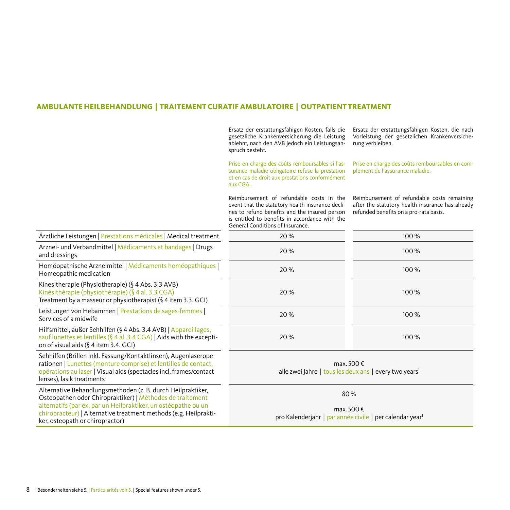#### **AMBULANTE HEILBEHANDLUNG | TRAITEMENT CURATIF AMBULATOIRE | OUTPATIENT TREATMENT**

Ersatz der erstattungsfähigen Kosten, falls die gesetzliche Krankenversicherung die Leistung ablehnt, nach den AVB jedoch ein Leistungsanspruch besteht.

Prise en charge des coûts remboursables si l'assurance maladie obligatoire refuse la prestation et en cas de droit aux prestations conformément aux CGA.

Ersatz der erstattungsfähigen Kosten, die nach Vorleistung der gesetzlichen Krankenversicherung verbleiben.

Prise en charge des coûts remboursables en complément de l'assurance maladie.

Reimbursement of refundable costs in the event that the statutory health insurance declines to refund benefits and the insured person is entitled to benefits in accordance with the  $\overline{G}$   $\overline{G}$   $\overline{G}$   $\overline{G}$   $\overline{G}$   $\overline{G}$   $\overline{G}$   $\overline{G}$   $\overline{G}$   $\overline{G}$   $\overline{G}$   $\overline{G}$   $\overline{G}$   $\overline{G}$   $\overline{G}$   $\overline{G}$   $\overline{G}$   $\overline{G}$   $\overline{G}$   $\overline{G}$   $\overline{G}$   $\overline{G}$   $\overline{G}$   $\overline{G}$   $\overline{$ 

Reimbursement of refundable costs remaining after the statutory health insurance has already refunded benefits on a pro-rata basis.

|                                                                                                                                                                                                                                                                                                   | General Conditions of Insurance.                                                          |       |
|---------------------------------------------------------------------------------------------------------------------------------------------------------------------------------------------------------------------------------------------------------------------------------------------------|-------------------------------------------------------------------------------------------|-------|
| Ärztliche Leistungen   Prestations médicales   Medical treatment                                                                                                                                                                                                                                  | 20%                                                                                       | 100 % |
| Arznei- und Verbandmittel   Médicaments et bandages   Drugs<br>and dressings                                                                                                                                                                                                                      | 20%                                                                                       | 100%  |
| Homöopathische Arzneimittel   Médicaments homéopathiques  <br>Homeopathic medication                                                                                                                                                                                                              | 20%                                                                                       | 100%  |
| Kinesitherapie (Physiotherapie) (§ 4 Abs. 3.3 AVB)<br>Kinésithérapie (physiothérapie) (§ 4 al. 3.3 CGA)<br>Treatment by a masseur or physiotherapist (§ 4 item 3.3. GCI)                                                                                                                          | 20%                                                                                       | 100%  |
| Leistungen von Hebammen   Prestations de sages-femmes  <br>Services of a midwife                                                                                                                                                                                                                  | 20%                                                                                       | 100 % |
| Hilfsmittel, außer Sehhilfen (§ 4 Abs. 3.4 AVB)   Appareillages,<br>sauf lunettes et lentilles (§ 4 al. 3.4 CGA)   Aids with the excepti-<br>on of visual aids $(\S 4$ item 3.4. GCI)                                                                                                             | 20%                                                                                       | 100%  |
| Sehhilfen (Brillen inkl. Fassung/Kontaktlinsen), Augenlaserope-<br>rationen   Lunettes (monture comprise) et lentilles de contact,<br>opérations au laser   Visual aids (spectacles incl. frames/contact<br>lenses), lasik treatments                                                             | max. 500 €<br>alle zwei Jahre   tous les deux ans   every two years <sup>1</sup>          |       |
| Alternative Behandlungsmethoden (z. B. durch Heilpraktiker,<br>Osteopathen oder Chiropraktiker)   Méthodes de traitement<br>alternatifs (par ex. par un Heilpraktiker, un ostéopathe ou un<br>chiropracteur)   Alternative treatment methods (e.g. Heilprakti-<br>ker, osteopath or chiropractor) | 80%<br>max. 500 €<br>pro Kalenderjahr   par année civile   per calendar year <sup>1</sup> |       |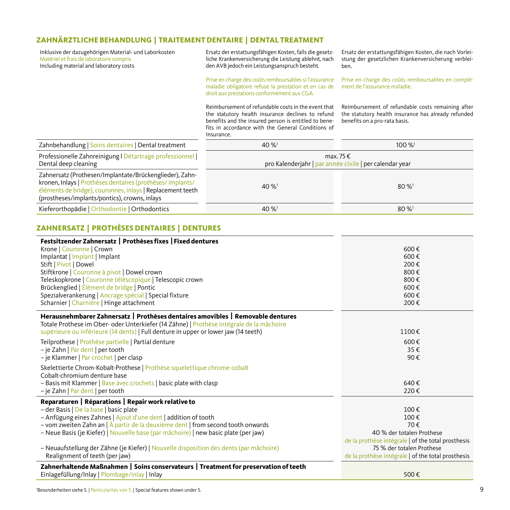## **ZAHNÄRZTLICHE BEHANDLUNG | TRAITEMENT DENTAIRE | DENTAL TREATMENT**

Inklusive der dazugehörigen Material- und Laborkosten Matériel et frais de laboratoire compris Including material and laboratory costs

Ersatz der erstattungsfähigen Kosten, falls die gesetzliche Krankenversicherung die Leistung ablehnt, nach den AVB jedoch ein Leistungsanspruch besteht.

Prise en charge des coûts remboursables si l'assurance maladie obligatoire refuse la prestation et en cas de droit aux prestations conformément aux CGA.

Ersatz der erstattungsfähigen Kosten, die nach Vorleistung der gesetzlichen Krankenversicherung verbleiben.

Prise en charge des coûts remboursables en complément de l'assurance maladie.

Reimbursement of refundable costs in the event that the statutory health insurance declines to refund benefits and the insured person is entitled to benefits in accordance with the General Conditions of Insurance.

Reimbursement of refundable costs remaining after the statutory health insurance has already refunded benefits on a pro-rata basis.

| Zahnbehandlung   Soins dentaires   Dental treatment                                                                                                                                                                                 | $40\%$ <sup>1</sup>                                                         | $100\%$ <sup>1</sup> |  |
|-------------------------------------------------------------------------------------------------------------------------------------------------------------------------------------------------------------------------------------|-----------------------------------------------------------------------------|----------------------|--|
| Professionelle Zahnreinigung   Détartrage professionnel  <br>Dental deep cleaning                                                                                                                                                   | max, $75 \notin$<br>pro Kalenderjahr   par année civile   per calendar year |                      |  |
| Zahnersatz (Prothesen/Implantate/Brückenglieder), Zahn-<br>kronen, Inlays   Prothèses dentaires (prothèses/implants/<br>éléments de bridge), couronnes, inlays   Replacement teeth<br>(prostheses/implants/pontics), crowns, inlays | $40\%$ <sup>1</sup>                                                         | $80\%$ <sup>1</sup>  |  |
| Kieferorthopädie   Orthodontie   Orthodontics                                                                                                                                                                                       | $40\%$ <sup>1</sup>                                                         | $80\%$ <sup>1</sup>  |  |

#### **ZAHNERSATZ | PROTHÈSES DENTAIRES | DENTURES**

| Festsitzender Zahnersatz   Prothèses fixes   Fixed dentures<br>Krone   Couronne   Crown<br>Implantat   Implant   Implant<br>Stift   Pivot   Dowel<br>Stiftkrone   Couronne à pivot   Dowel crown<br>Teleskopkrone   Couronne téléscopique   Telescopic crown<br>Brückenglied   Élément de bridge   Pontic<br>Spezialverankerung   Ancrage spécial   Special fixture<br>Scharnier   Charnière   Hinge attachment                                                               | 600€<br>600€<br>200€<br>800€<br>800€<br>600€<br>600 €<br>200€                                                                                                                             |
|-------------------------------------------------------------------------------------------------------------------------------------------------------------------------------------------------------------------------------------------------------------------------------------------------------------------------------------------------------------------------------------------------------------------------------------------------------------------------------|-------------------------------------------------------------------------------------------------------------------------------------------------------------------------------------------|
| Herausnehmbarer Zahnersatz   Prothèses dentaires amovibles   Removable dentures<br>Totale Prothese im Ober- oder Unterkiefer (14 Zähne)   Prothèse intégrale de la mâchoire<br>supérieure ou inférieure (14 dents)   Full denture in upper or lower jaw (14 teeth)                                                                                                                                                                                                            | 1100€                                                                                                                                                                                     |
| Teilprothese   Prothèse partielle   Partial denture<br>- je Zahn   Par dent   per tooth<br>- je Klammer   Par crochet   per clasp                                                                                                                                                                                                                                                                                                                                             | $600 \in$<br>35€<br>90€                                                                                                                                                                   |
| Skelettierte Chrom-Kobalt-Prothese   Prothèse squelettique chrome-cobalt<br>Cobalt-chromium denture base<br>- Basis mit Klammer   Base avec crochets   basic plate with clasp<br>- je Zahn   Par dent   per tooth                                                                                                                                                                                                                                                             | 640€<br>220€                                                                                                                                                                              |
| Reparaturen   Réparations   Repair work relative to<br>- der Basis   De la base   basic plate<br>- Anfügung eines Zahnes   Ajout d'une dent   addition of tooth<br>- vom zweiten Zahn an $ \hat{A}$ partir de la deuxième dent   from second tooth onwards<br>- Neue Basis (je Kiefer)   Nouvelle base (par mâchoire)   new basic plate (per jaw)<br>- Neuaufstellung der Zähne (je Kiefer)   Nouvelle disposition des dents (par mâchoire)<br>Realignment of teeth (per jaw) | 100€<br>100€<br>70€<br>40 % der totalen Prothese<br>de la prothèse intégrale   of the total prosthesis<br>75 % der totalen Prothese<br>de la prothèse intégrale   of the total prosthesis |
| Zahnerhaltende Maßnahmen   Soins conservateurs   Treatment for preservation of teeth<br>Einlagefüllung/Inlay   Plombage/inlay   Inlay                                                                                                                                                                                                                                                                                                                                         | 500€                                                                                                                                                                                      |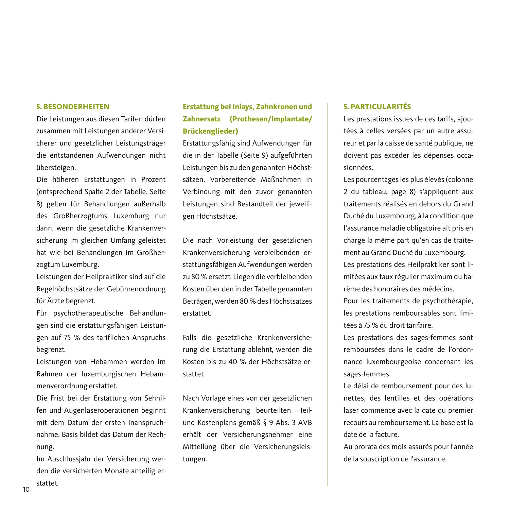#### **5. BESONDERHEITEN**

Die Leistungen aus diesen Tarifen dürfen zusammen mit Leistungen anderer Versicherer und gesetzlicher Leistungsträger die entstandenen Aufwendungen nicht übersteigen.

Die höheren Erstattungen in Prozent (entsprechend Spalte 2 der Tabelle, Seite 8) gelten für Behandlungen außerhalb des Großherzogtums Luxemburg nur dann, wenn die gesetzliche Krankenversicherung im gleichen Umfang geleistet hat wie bei Behandlungen im Großherzogtum Luxemburg.

Leistungen der Heilpraktiker sind auf die Regelhöchstsätze der Gebührenordnung für Ärzte begrenzt.

Für psychotherapeutische Behandlungen sind die erstattungsfähigen Leistungen auf 75 % des tariflichen Anspruchs begrenzt.

Leistungen von Hebammen werden im Rahmen der luxemburgischen Hebammenverordnung erstattet.

Die Frist bei der Erstattung von Sehhilfen und Augenlaseroperationen beginnt mit dem Datum der ersten Inanspruchnahme. Basis bildet das Datum der Rechnung.

Im Abschlussjahr der Versicherung werden die versicherten Monate anteilig erstattet.

## **Erstattung bei Inlays, Zahnkronen und Zahnersatz (Prothesen/Implantate/ Brückenglieder)**

Erstattungsfähig sind Aufwendungen für die in der Tabelle (Seite 9) aufgeführten Leistungen bis zu den genannten Höchstsätzen. Vorbereitende Maßnahmen in Verbindung mit den zuvor genannten Leistungen sind Bestandteil der jeweiligen Höchstsätze.

Die nach Vorleistung der gesetzlichen Krankenversicherung verbleibenden erstattungsfähigen Aufwendungen werden zu 80 % ersetzt. Liegen die verbleibenden Kosten über den in der Tabelle genannten Beträgen, werden 80 % des Höchstsatzes erstattet.

Falls die gesetzliche Krankenversicherung die Erstattung ablehnt, werden die Kosten bis zu 40 % der Höchstsätze erstattet.

Nach Vorlage eines von der gesetzlichen Krankenversicherung beurteilten Heilund Kostenplans gemäß § 9 Abs. 3 AVB erhält der Versicherungsnehmer eine Mitteilung über die Versicherungsleistungen.

#### **5. PARTICULARITÉS**

Les prestations issues de ces tarifs, ajoutées à celles versées par un autre assureur et par la caisse de santé publique, ne doivent pas excéder les dépenses occasionnées.

Les pourcentages les plus élevés (colonne 2 du tableau, page 8) s'appliquent aux traitements réalisés en dehors du Grand Duché du Luxembourg, à la condition que l'assurance maladie obligatoire ait pris en charge la même part qu'en cas de traitement au Grand Duché du Luxembourg. Les prestations des Heilpraktiker sont limitées aux taux régulier maximum du barème des honoraires des médecins.

Pour les traitements de psychothérapie, les prestations remboursables sont limitées à 75 % du droit tarifaire.

Les prestations des sages-femmes sont remboursées dans le cadre de l'ordonnance luxembourgeoise concernant les sages-femmes.

Le délai de remboursement pour des lunettes, des lentilles et des opérations laser commence avec la date du premier recours au remboursement. La base est la date de la facture.

Au prorata des mois assurés pour l'année de la souscription de l'assurance.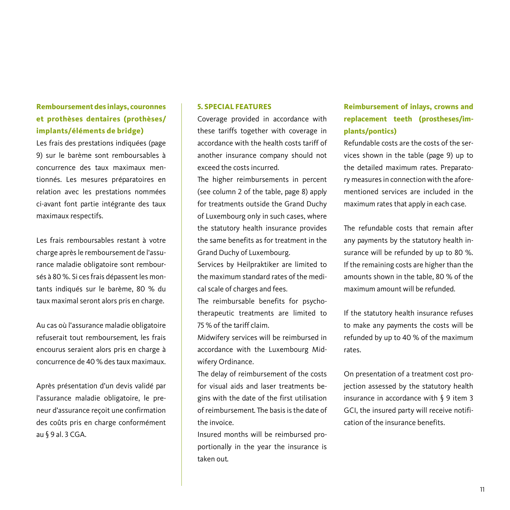## **Remboursement des inlays, couronnes et prothèses dentaires (prothèses/ implants/éléments de bridge)**

Les frais des prestations indiquées (page 9) sur le barème sont remboursables à concurrence des taux maximaux mentionnés. Les mesures préparatoires en relation avec les prestations nommées ci-avant font partie intégrante des taux maximaux respectifs.

Les frais remboursables restant à votre charge après le remboursement de l'assurance maladie obligatoire sont remboursés à 80 %. Si ces frais dépassent les montants indiqués sur le barème, 80 % du taux maximal seront alors pris en charge.

Au cas où l'assurance maladie obligatoire refuserait tout remboursement, les frais encourus seraient alors pris en charge à concurrence de 40 % des taux maximaux.

Après présentation d'un devis validé par l'assurance maladie obligatoire, le preneur d'assurance reçoit une confirmation des coûts pris en charge conformément au § 9 al. 3 CGA.

#### **5. SPECIAL FEATURES**

Coverage provided in accordance with these tariffs together with coverage in accordance with the health costs tariff of another insurance company should not exceed the costs incurred.

The higher reimbursements in percent (see column 2 of the table, page 8) apply for treatments outside the Grand Duchy of Luxembourg only in such cases, where the statutory health insurance provides the same benefits as for treatment in the Grand Duchy of Luxembourg.

Services by Heilpraktiker are limited to the maximum standard rates of the medical scale of charges and fees.

The reimbursable benefits for psychotherapeutic treatments are limited to 75 % of the tariff claim.

Midwifery services will be reimbursed in accordance with the Luxembourg Midwifery Ordinance.

The delay of reimbursement of the costs for visual aids and laser treatments begins with the date of the first utilisation of reimbursement. The basis is the date of the invoice.

Insured months will be reimbursed proportionally in the year the insurance is taken out.

## **Reimbursement of inlays, crowns and replacement teeth (prostheses/implants/pontics)**

Refundable costs are the costs of the services shown in the table (page 9) up to the detailed maximum rates. Preparatory measures in connection with the aforementioned services are included in the maximum rates that apply in each case.

The refundable costs that remain after any payments by the statutory health insurance will be refunded by up to 80 %. If the remaining costs are higher than the amounts shown in the table, 80 % of the maximum amount will be refunded.

If the statutory health insurance refuses to make any payments the costs will be refunded by up to 40 % of the maximum rates.

On presentation of a treatment cost projection assessed by the statutory health insurance in accordance with § 9 item 3 GCI, the insured party will receive notification of the insurance benefits.